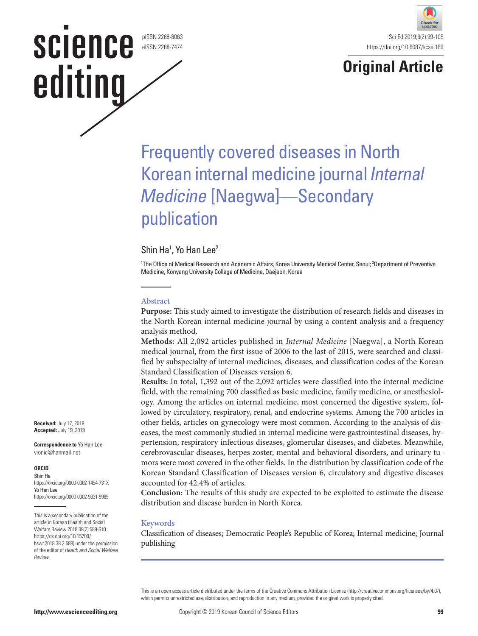pISSN 2288-8063 eISSN 2288-7474

**SCIENCE** 

editing





# Frequently covered diseases in North Korean internal medicine journal Internal Medicine [Naegwa]—Secondary publication

# Shin Ha<sup>1</sup>, Yo Han Lee<sup>2</sup>

1 The Office of Medical Research and Academic Affairs, Korea University Medical Center, Seoul; 2 Department of Preventive Medicine, Konyang University College of Medicine, Daejeon, Korea

#### **Abstract**

**Purpose:** This study aimed to investigate the distribution of research fields and diseases in the North Korean internal medicine journal by using a content analysis and a frequency analysis method.

**Methods:** All 2,092 articles published in *Internal Medicine* [Naegwa], a North Korean medical journal, from the first issue of 2006 to the last of 2015, were searched and classified by subspecialty of internal medicines, diseases, and classification codes of the Korean Standard Classification of Diseases version 6.

**Results:** In total, 1,392 out of the 2,092 articles were classified into the internal medicine field, with the remaining 700 classified as basic medicine, family medicine, or anesthesiology. Among the articles on internal medicine, most concerned the digestive system, followed by circulatory, respiratory, renal, and endocrine systems. Among the 700 articles in other fields, articles on gynecology were most common. According to the analysis of diseases, the most commonly studied in internal medicine were gastrointestinal diseases, hypertension, respiratory infectious diseases, glomerular diseases, and diabetes. Meanwhile, cerebrovascular diseases, herpes zoster, mental and behavioral disorders, and urinary tumors were most covered in the other fields. In the distribution by classification code of the Korean Standard Classification of Diseases version 6, circulatory and digestive diseases accounted for 42.4% of articles.

**Conclusion:** The results of this study are expected to be exploited to estimate the disease distribution and disease burden in North Korea.

#### **Keywords**

Classification of diseases; Democratic People's Republic of Korea; Internal medicine; Journal publishing

This is an open access article distributed under the terms of the Creative Commons Attribution License (http://creativecommons.org/licenses/by/4.0/), which permits unrestricted use, distribution, and reproduction in any medium, provided the original work is properly cited.

**Received:** July 17, 2019 **Accepted:** July 19, 2019

**Correspondence to** Yo Han Lee vionic@hanmail.net

#### **ORCID**

Shin Ha https://orcid.org/0000-0002-1454-731X Yo Han Lee https://orcid.org/0000-0002-9631-9969

This is a secondary publication of the article in Korean (Health and Social Welfare Review 2018;38(2):589-610. https://dx.doi.org/10.15709/ hswr.2018.38.2.589) under the permission of the editor of Health and Social Welfare Review.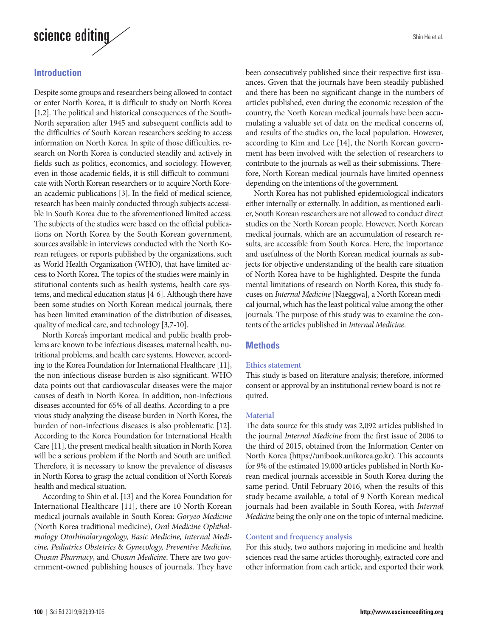

# **Introduction**

Despite some groups and researchers being allowed to contact or enter North Korea, it is difficult to study on North Korea [1,2]. The political and historical consequences of the South-North separation after 1945 and subsequent conflicts add to the difficulties of South Korean researchers seeking to access information on North Korea. In spite of those difficulties, research on North Korea is conducted steadily and actively in fields such as politics, economics, and sociology. However, even in those academic fields, it is still difficult to communicate with North Korean researchers or to acquire North Korean academic publications [3]. In the field of medical science, research has been mainly conducted through subjects accessible in South Korea due to the aforementioned limited access. The subjects of the studies were based on the official publications on North Korea by the South Korean government, sources available in interviews conducted with the North Korean refugees, or reports published by the organizations, such as World Health Organization (WHO), that have limited access to North Korea. The topics of the studies were mainly institutional contents such as health systems, health care systems, and medical education status [4-6]. Although there have been some studies on North Korean medical journals, there has been limited examination of the distribution of diseases, quality of medical care, and technology [3,7-10].

North Korea's important medical and public health problems are known to be infectious diseases, maternal health, nutritional problems, and health care systems. However, according to the Korea Foundation for International Healthcare [11], the non-infectious disease burden is also significant. WHO data points out that cardiovascular diseases were the major causes of death in North Korea. In addition, non-infectious diseases accounted for 65% of all deaths. According to a previous study analyzing the disease burden in North Korea, the burden of non-infectious diseases is also problematic [12]. According to the Korea Foundation for International Health Care [11], the present medical health situation in North Korea will be a serious problem if the North and South are unified. Therefore, it is necessary to know the prevalence of diseases in North Korea to grasp the actual condition of North Korea's health and medical situation.

According to Shin et al. [13] and the Korea Foundation for International Healthcare [11], there are 10 North Korean medical journals available in South Korea: *Goryeo Medicine*  (North Korea traditional medicine), *Oral Medicine Ophthalmology Otorhinolaryngology, Basic Medicine, Internal Medicine, Pediatrics Obstetrics* & *Gynecology, Preventive Medicine, Chosun Pharmacy*, and *Chosun Medicine*. There are two government-owned publishing houses of journals. They have been consecutively published since their respective first issuances. Given that the journals have been steadily published and there has been no significant change in the numbers of articles published, even during the economic recession of the country, the North Korean medical journals have been accumulating a valuable set of data on the medical concerns of, and results of the studies on, the local population. However, according to Kim and Lee [14], the North Korean government has been involved with the selection of researchers to contribute to the journals as well as their submissions. Therefore, North Korean medical journals have limited openness depending on the intentions of the government.

North Korea has not published epidemiological indicators either internally or externally. In addition, as mentioned earlier, South Korean researchers are not allowed to conduct direct studies on the North Korean people. However, North Korean medical journals, which are an accumulation of research results, are accessible from South Korea. Here, the importance and usefulness of the North Korean medical journals as subjects for objective understanding of the health care situation of North Korea have to be highlighted. Despite the fundamental limitations of research on North Korea, this study focuses on *Internal Medicine* [Naeggwa], a North Korean medical journal, which has the least political value among the other journals. The purpose of this study was to examine the contents of the articles published in *Internal Medicine*.

#### **Methods**

#### **Ethics statement**

This study is based on literature analysis; therefore, informed consent or approval by an institutional review board is not required.

#### **Material**

The data source for this study was 2,092 articles published in the journal *Internal Medicine* from the first issue of 2006 to the third of 2015, obtained from the Information Center on North Korea (https://unibook.unikorea.go.kr). This accounts for 9% of the estimated 19,000 articles published in North Korean medical journals accessible in South Korea during the same period. Until February 2016, when the results of this study became available, a total of 9 North Korean medical journals had been available in South Korea, with *Internal Medicine* being the only one on the topic of internal medicine.

#### **Content and frequency analysis**

For this study, two authors majoring in medicine and health sciences read the same articles thoroughly, extracted core and other information from each article, and exported their work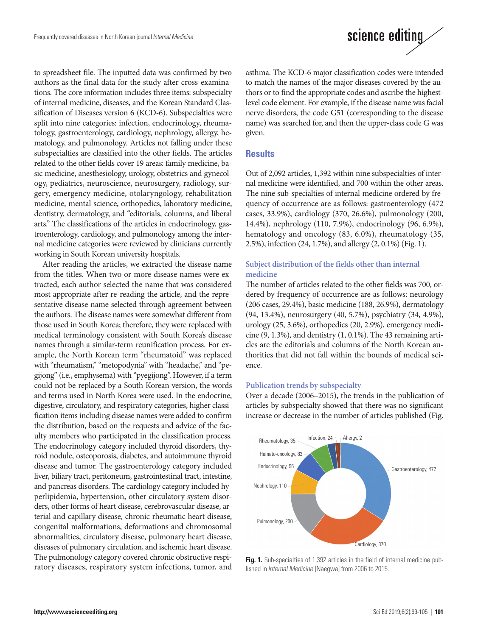

After reading the articles, we extracted the disease name from the titles. When two or more disease names were extracted, each author selected the name that was considered most appropriate after re-reading the article, and the representative disease name selected through agreement between the authors. The disease names were somewhat different from those used in South Korea; therefore, they were replaced with medical terminology consistent with South Korea's disease names through a similar-term reunification process. For example, the North Korean term "rheumatoid" was replaced with "rheumatism," "metopodynia" with "headache," and "pegijong" (i.e., emphysema) with "pyegijong". However, if a term could not be replaced by a South Korean version, the words and terms used in North Korea were used. In the endocrine, digestive, circulatory, and respiratory categories, higher classification items including disease names were added to confirm the distribution, based on the requests and advice of the faculty members who participated in the classification process. The endocrinology category included thyroid disorders, thyroid nodule, osteoporosis, diabetes, and autoimmune thyroid disease and tumor. The gastroenterology category included liver, biliary tract, peritoneum, gastrointestinal tract, intestine, and pancreas disorders. The cardiology category included hyperlipidemia, hypertension, other circulatory system disorders, other forms of heart disease, cerebrovascular disease, arterial and capillary disease, chronic rheumatic heart disease, congenital malformations, deformations and chromosomal abnormalities, circulatory disease, pulmonary heart disease, diseases of pulmonary circulation, and ischemic heart disease. The pulmonology category covered chronic obstructive respiratory diseases, respiratory system infections, tumor, and



asthma. The KCD-6 major classification codes were intended to match the names of the major diseases covered by the authors or to find the appropriate codes and ascribe the highestlevel code element. For example, if the disease name was facial nerve disorders, the code G51 (corresponding to the disease name) was searched for, and then the upper-class code G was given.

## **Results**

Out of 2,092 articles, 1,392 within nine subspecialties of internal medicine were identified, and 700 within the other areas. The nine sub-specialties of internal medicine ordered by frequency of occurrence are as follows: gastroenterology (472 cases, 33.9%), cardiology (370, 26.6%), pulmonology (200, 14.4%), nephrology (110, 7.9%), endocrinology (96, 6.9%), hematology and oncology (83, 6.0%), rheumatology (35, 2.5%), infection (24, 1.7%), and allergy (2, 0.1%) (Fig. 1).

## **Subject distribution of the fields other than internal medicine**

The number of articles related to the other fields was 700, ordered by frequency of occurrence are as follows: neurology (206 cases, 29.4%), basic medicine (188, 26.9%), dermatology (94, 13.4%), neurosurgery (40, 5.7%), psychiatry (34, 4.9%), urology (25, 3.6%), orthopedics (20, 2.9%), emergency medicine  $(9, 1.3\%)$ , and dentistry  $(1, 0.1\%)$ . The 43 remaining articles are the editorials and columns of the North Korean authorities that did not fall within the bounds of medical science.

#### **Publication trends by subspecialty**

Over a decade (2006–2015), the trends in the publication of articles by subspecialty showed that there was no significant increase or decrease in the number of articles published (Fig.



**Fig. 1.** Sub-specialties of 1,392 articles in the field of internal medicine published in Internal Medicine [Naegwa] from 2006 to 2015.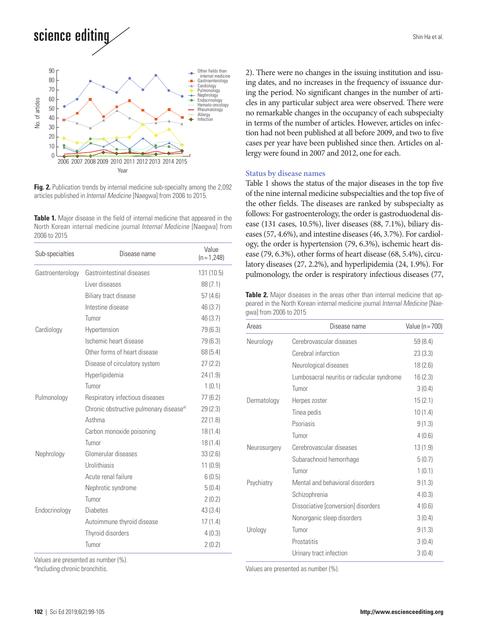science editing



**Fig. 2.** Publication trends by internal medicine sub-specialty among the 2,092 articles published in Internal Medicine [Naegwa] from 2006 to 2015.

**Table 1.** Major disease in the field of internal medicine that appeared in the North Korean internal medicine journal Internal Medicine [Naegwa] from 2006 to 2015

| Sub-specialties  | Disease name                                        | Value<br>$(n=1,248)$ |
|------------------|-----------------------------------------------------|----------------------|
| Gastroenterology | Gastrointestinal diseases                           | 131 (10.5)           |
|                  | Liver diseases                                      | 88(7.1)              |
|                  | Biliary tract disease                               | 57(4.6)              |
|                  | Intestine disease                                   | 46 (3.7)             |
|                  | Tumor                                               | 46(3.7)              |
| Cardiology       | Hypertension                                        | 79 (6.3)             |
|                  | Ischemic heart disease                              | 79 (6.3)             |
|                  | Other forms of heart disease                        | 68(5.4)              |
|                  | Disease of circulatory system                       | 27(2.2)              |
|                  | Hyperlipidemia                                      | 24(1.9)              |
|                  | Tumor                                               | 1(0.1)               |
| Pulmonology      | Respiratory infectious diseases                     | 77(6.2)              |
|                  | Chronic obstructive pulmonary disease <sup>a)</sup> | 29(2.3)              |
|                  | Asthma                                              | 22(1.8)              |
|                  | Carbon monoxide poisoning                           | 18(1.4)              |
|                  | Tumor                                               | 18(1.4)              |
| Nephrology       | Glomerular diseases                                 | 33(2.6)              |
|                  | Urolithiasis                                        | 11(0.9)              |
|                  | Acute renal failure                                 | 6(0.5)               |
|                  | Nephrotic syndrome                                  | 5(0.4)               |
|                  | Tumor                                               | 2(0.2)               |
| Endocrinology    | <b>Diabetes</b>                                     | 43(3.4)              |
|                  | Autoimmune thyroid disease                          | 17(1.4)              |
|                  | Thyroid disorders                                   | 4(0.3)               |
|                  | Tumor                                               | 2(0.2)               |

Values are presented as number (%).<br><sup>a)</sup>Including chronic bronchitis.

Shin Ha et al.

2). There were no changes in the issuing institution and issuing dates, and no increases in the frequency of issuance during the period. No significant changes in the number of articles in any particular subject area were observed. There were no remarkable changes in the occupancy of each subspecialty in terms of the number of articles. However, articles on infection had not been published at all before 2009, and two to five cases per year have been published since then. Articles on allergy were found in 2007 and 2012, one for each.

#### **Status by disease names**

Table 1 shows the status of the major diseases in the top five of the nine internal medicine subspecialties and the top five of the other fields. The diseases are ranked by subspecialty as follows: For gastroenterology, the order is gastroduodenal disease (131 cases, 10.5%), liver diseases (88, 7.1%), biliary diseases (57, 4.6%), and intestine diseases (46, 3.7%). For cardiology, the order is hypertension (79, 6.3%), ischemic heart disease (79, 6.3%), other forms of heart disease (68, 5.4%), circulatory diseases (27, 2.2%), and hyperlipidemia (24, 1.9%). For pulmonology, the order is respiratory infectious diseases (77,

**Table 2.** Major diseases in the areas other than internal medicine that appeared in the North Korean internal medicine journal *Internal Medicine* [Naegwa] from 2006 to 2015

| Areas        | Disease name                               | Value (n = 700) |
|--------------|--------------------------------------------|-----------------|
| Neurology    | Cerebrovascular diseases                   | 59(8.4)         |
|              | Cerebral infarction                        | 23(3.3)         |
|              | Neurological diseases                      | 18(2.6)         |
|              | Lumbosacral neuritis or radicular syndrome | 16(2.3)         |
|              | Tumor                                      | 3(0.4)          |
| Dermatology  | Herpes zoster                              | 15(2.1)         |
|              | Tinea pedis                                | 10(1.4)         |
|              | Psoriasis                                  | 9(1.3)          |
|              | Tumor                                      | 4(0.6)          |
| Neurosurgery | Cerebrovascular diseases                   | 13(1.9)         |
|              | Subarachnoid hemorrhage                    | 5(0.7)          |
|              | Tumor                                      | 1(0.1)          |
| Psychiatry   | Mental and behavioral disorders            | 9(1.3)          |
|              | Schizophrenia                              | 4(0.3)          |
|              | Dissociative [conversion] disorders        | 4(0.6)          |
|              | Nonorganic sleep disorders                 | 3(0.4)          |
| Urology      | Tumor                                      | 9(1.3)          |
|              | Prostatitis                                | 3(0.4)          |
|              | Urinary tract infection                    | 3(0.4)          |

Values are presented as number (%).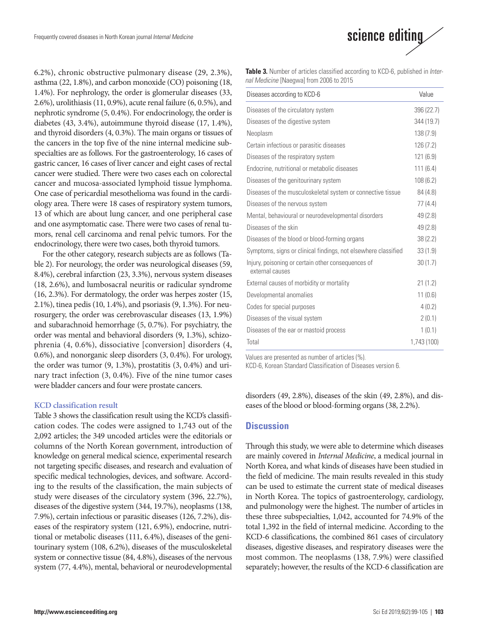6.2%), chronic obstructive pulmonary disease (29, 2.3%), asthma (22, 1.8%), and carbon monoxide (CO) poisoning (18, 1.4%). For nephrology, the order is glomerular diseases (33, 2.6%), urolithiasis (11, 0.9%), acute renal failure (6, 0.5%), and nephrotic syndrome (5, 0.4%). For endocrinology, the order is diabetes (43, 3.4%), autoimmune thyroid disease (17, 1.4%), and thyroid disorders (4, 0.3%). The main organs or tissues of the cancers in the top five of the nine internal medicine subspecialties are as follows. For the gastroenterology, 16 cases of gastric cancer, 16 cases of liver cancer and eight cases of rectal cancer were studied. There were two cases each on colorectal cancer and mucosa-associated lymphoid tissue lymphoma. One case of pericardial mesothelioma was found in the cardiology area. There were 18 cases of respiratory system tumors, 13 of which are about lung cancer, and one peripheral case and one asymptomatic case. There were two cases of renal tumors, renal cell carcinoma and renal pelvic tumors. For the endocrinology, there were two cases, both thyroid tumors.

For the other category, research subjects are as follows (Table 2). For neurology, the order was neurological diseases (59, 8.4%), cerebral infarction (23, 3.3%), nervous system diseases (18, 2.6%), and lumbosacral neuritis or radicular syndrome (16, 2.3%). For dermatology, the order was herpes zoster (15, 2.1%), tinea pedis (10, 1.4%), and psoriasis (9, 1.3%). For neurosurgery, the order was cerebrovascular diseases (13, 1.9%) and subarachnoid hemorrhage (5, 0.7%). For psychiatry, the order was mental and behavioral disorders (9, 1.3%), schizophrenia (4, 0.6%), dissociative [conversion] disorders (4, 0.6%), and nonorganic sleep disorders (3, 0.4%). For urology, the order was tumor (9, 1.3%), prostatitis (3, 0.4%) and urinary tract infection (3, 0.4%). Five of the nine tumor cases were bladder cancers and four were prostate cancers.

#### **KCD classification result**

Table 3 shows the classification result using the KCD's classification codes. The codes were assigned to 1,743 out of the 2,092 articles; the 349 uncoded articles were the editorials or columns of the North Korean government, introduction of knowledge on general medical science, experimental research not targeting specific diseases, and research and evaluation of specific medical technologies, devices, and software. According to the results of the classification, the main subjects of study were diseases of the circulatory system (396, 22.7%), diseases of the digestive system (344, 19.7%), neoplasms (138, 7.9%), certain infectious or parasitic diseases (126, 7.2%), diseases of the respiratory system (121, 6.9%), endocrine, nutritional or metabolic diseases (111, 6.4%), diseases of the genitourinary system (108, 6.2%), diseases of the musculoskeletal system or connective tissue (84, 4.8%), diseases of the nervous system (77, 4.4%), mental, behavioral or neurodevelopmental



**Table 3.** Number of articles classified according to KCD-6, published in *Inter*nal Medicine [Naegwa] from 2006 to 2015

| Diseases according to KCD-6                                           | Value       |
|-----------------------------------------------------------------------|-------------|
| Diseases of the circulatory system                                    | 396 (22.7)  |
| Diseases of the digestive system                                      | 344 (19.7)  |
| Neoplasm                                                              | 138(7.9)    |
| Certain infectious or parasitic diseases                              | 126(7.2)    |
| Diseases of the respiratory system                                    | 121(6.9)    |
| Endocrine, nutritional or metabolic diseases                          | 111(6.4)    |
| Diseases of the genitourinary system                                  | 108(6.2)    |
| Diseases of the musculoskeletal system or connective tissue           | 84 (4.8)    |
| Diseases of the nervous system                                        | 77(4.4)     |
| Mental, behavioural or neurodevelopmental disorders                   | 49 (2.8)    |
| Diseases of the skin                                                  | 49 (2.8)    |
| Diseases of the blood or blood-forming organs                         | 38(2.2)     |
| Symptoms, signs or clinical findings, not elsewhere classified        | 33(1.9)     |
| Injury, poisoning or certain other consequences of<br>external causes | 30(1.7)     |
| External causes of morbidity or mortality                             | 21(1.2)     |
| Developmental anomalies                                               | 11(0.6)     |
| Codes for special purposes                                            | 4(0.2)      |
| Diseases of the visual system                                         | 2(0.1)      |
| Diseases of the ear or mastoid process                                | 1(0.1)      |
| Total                                                                 | 1,743 (100) |

Values are presented as number of articles (%).

KCD-6, Korean Standard Classification of Diseases version 6.

disorders (49, 2.8%), diseases of the skin (49, 2.8%), and diseases of the blood or blood-forming organs (38, 2.2%).

#### **Discussion**

Through this study, we were able to determine which diseases are mainly covered in *Internal Medicine*, a medical journal in North Korea, and what kinds of diseases have been studied in the field of medicine. The main results revealed in this study can be used to estimate the current state of medical diseases in North Korea. The topics of gastroenterology, cardiology, and pulmonology were the highest. The number of articles in these three subspecialties, 1,042, accounted for 74.9% of the total 1,392 in the field of internal medicine. According to the KCD-6 classifications, the combined 861 cases of circulatory diseases, digestive diseases, and respiratory diseases were the most common. The neoplasms (138, 7.9%) were classified separately; however, the results of the KCD-6 classification are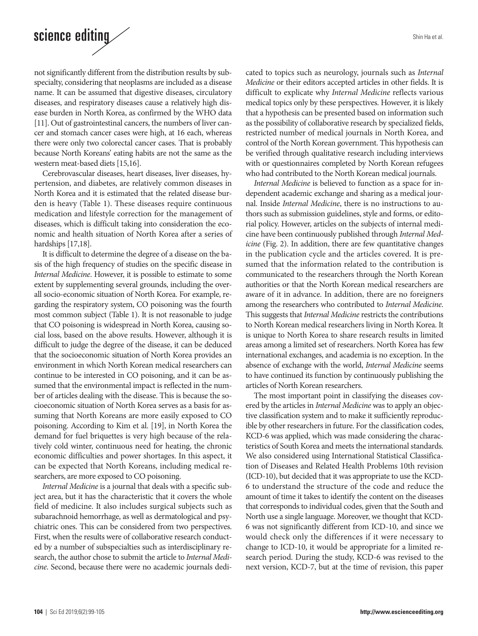# science editing

not significantly different from the distribution results by subspecialty, considering that neoplasms are included as a disease name. It can be assumed that digestive diseases, circulatory diseases, and respiratory diseases cause a relatively high disease burden in North Korea, as confirmed by the WHO data [11]. Out of gastrointestinal cancers, the numbers of liver cancer and stomach cancer cases were high, at 16 each, whereas there were only two colorectal cancer cases. That is probably because North Koreans' eating habits are not the same as the western meat-based diets [15,16].

Cerebrovascular diseases, heart diseases, liver diseases, hypertension, and diabetes, are relatively common diseases in North Korea and it is estimated that the related disease burden is heavy (Table 1). These diseases require continuous medication and lifestyle correction for the management of diseases, which is difficult taking into consideration the economic and health situation of North Korea after a series of hardships [17,18].

It is difficult to determine the degree of a disease on the basis of the high frequency of studies on the specific disease in *Internal Medicine*. However, it is possible to estimate to some extent by supplementing several grounds, including the overall socio-economic situation of North Korea. For example, regarding the respiratory system, CO poisoning was the fourth most common subject (Table 1). It is not reasonable to judge that CO poisoning is widespread in North Korea, causing social loss, based on the above results. However, although it is difficult to judge the degree of the disease, it can be deduced that the socioeconomic situation of North Korea provides an environment in which North Korean medical researchers can continue to be interested in CO poisoning, and it can be assumed that the environmental impact is reflected in the number of articles dealing with the disease. This is because the socioeconomic situation of North Korea serves as a basis for assuming that North Koreans are more easily exposed to CO poisoning. According to Kim et al. [19], in North Korea the demand for fuel briquettes is very high because of the relatively cold winter, continuous need for heating, the chronic economic difficulties and power shortages. In this aspect, it can be expected that North Koreans, including medical researchers, are more exposed to CO poisoning.

*Internal Medicine* is a journal that deals with a specific subject area, but it has the characteristic that it covers the whole field of medicine. It also includes surgical subjects such as subarachnoid hemorrhage, as well as dermatological and psychiatric ones. This can be considered from two perspectives. First, when the results were of collaborative research conducted by a number of subspecialties such as interdisciplinary research, the author chose to submit the article to *Internal Medicine*. Second, because there were no academic journals dedicated to topics such as neurology, journals such as *Internal Medicine* or their editors accepted articles in other fields. It is difficult to explicate why *Internal Medicine* reflects various medical topics only by these perspectives. However, it is likely that a hypothesis can be presented based on information such as the possibility of collaborative research by specialized fields, restricted number of medical journals in North Korea, and control of the North Korean government. This hypothesis can be verified through qualitative research including interviews with or questionnaires completed by North Korean refugees who had contributed to the North Korean medical journals.

*Internal Medicine* is believed to function as a space for independent academic exchange and sharing as a medical journal. Inside *Internal Medicine*, there is no instructions to authors such as submission guidelines, style and forms, or editorial policy. However, articles on the subjects of internal medicine have been continuously published through *Internal Medicine* (Fig. 2). In addition, there are few quantitative changes in the publication cycle and the articles covered. It is presumed that the information related to the contribution is communicated to the researchers through the North Korean authorities or that the North Korean medical researchers are aware of it in advance. In addition, there are no foreigners among the researchers who contributed to *Internal Medicine*. This suggests that *Internal Medicine* restricts the contributions to North Korean medical researchers living in North Korea. It is unique to North Korea to share research results in limited areas among a limited set of researchers. North Korea has few international exchanges, and academia is no exception. In the absence of exchange with the world, *Internal Medicine* seems to have continued its function by continuously publishing the articles of North Korean researchers.

The most important point in classifying the diseases covered by the articles in *Internal Medicine* was to apply an objective classification system and to make it sufficiently reproducible by other researchers in future. For the classification codes, KCD-6 was applied, which was made considering the characteristics of South Korea and meets the international standards. We also considered using International Statistical Classification of Diseases and Related Health Problems 10th revision (ICD-10), but decided that it was appropriate to use the KCD-6 to understand the structure of the code and reduce the amount of time it takes to identify the content on the diseases that corresponds to individual codes, given that the South and North use a single language. Moreover, we thought that KCD-6 was not significantly different from ICD-10, and since we would check only the differences if it were necessary to change to ICD-10, it would be appropriate for a limited research period. During the study, KCD-6 was revised to the next version, KCD-7, but at the time of revision, this paper